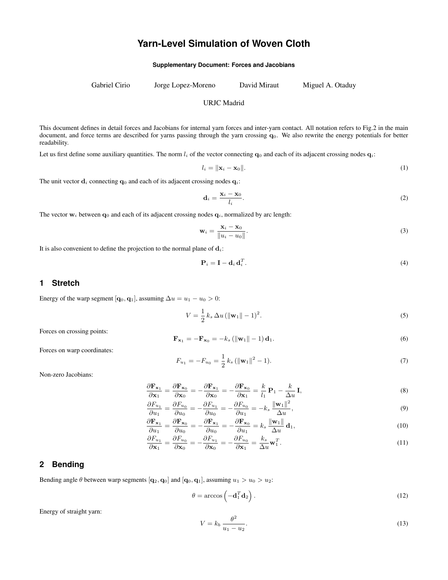# **Yarn-Level Simulation of Woven Cloth**

**Supplementary Document: Forces and Jacobians**

Gabriel Cirio Jorge Lopez-Moreno David Miraut Miguel A. Otaduy

#### URJC Madrid

This document defines in detail forces and Jacobians for internal yarn forces and inter-yarn contact. All notation refers to Fig.2 in the main document, and force terms are described for yarns passing through the yarn crossing  $q<sub>0</sub>$ . We also rewrite the energy potentials for better readability.

Let us first define some auxiliary quantities. The norm  $l_i$  of the vector connecting  $\mathbf{q}_0$  and each of its adjacent crossing nodes  $\mathbf{q}_i$ :

$$
l_i = \|\mathbf{x}_i - \mathbf{x}_0\|.\tag{1}
$$

The unit vector  $\mathbf{d}_i$  connecting  $\mathbf{q}_0$  and each of its adjacent crossing nodes  $\mathbf{q}_i$ :

$$
\mathbf{d}_i = \frac{\mathbf{x}_i - \mathbf{x}_0}{l_i}.\tag{2}
$$

The vector  $w_i$  between  $q_0$  and each of its adjacent crossing nodes  $q_i$ , normalized by arc length:

$$
\mathbf{w}_i = \frac{\mathbf{x}_i - \mathbf{x}_0}{\|u_i - u_0\|}.
$$
 (3)

It is also convenient to define the projection to the normal plane of  $\mathbf{d}_i$ :

$$
\mathbf{P}_i = \mathbf{I} - \mathbf{d}_i \mathbf{d}_i^T. \tag{4}
$$

#### **1 Stretch**

Energy of the warp segment  $[q_0, q_1]$ , assuming  $\Delta u = u_1 - u_0 > 0$ :

$$
V = \frac{1}{2} k_s \, \Delta u \, (\|\mathbf{w}_1\| - 1)^2. \tag{5}
$$

Forces on crossing points:

$$
\mathbf{F}_{\mathbf{x}_1} = -\mathbf{F}_{\mathbf{x}_0} = -k_s \left( \|\mathbf{w}_1\| - 1 \right) \mathbf{d}_1. \tag{6}
$$

Forces on warp coordinates:

$$
F_{u_1} = -F_{u_0} = \frac{1}{2} k_s \left( \|\mathbf{w}_1\|^2 - 1 \right).
$$
 (7)

Non-zero Jacobians:

$$
\frac{\partial \mathbf{F}_{\mathbf{x}_1}}{\partial \mathbf{x}_1} = \frac{\partial \mathbf{F}_{\mathbf{x}_0}}{\partial \mathbf{x}_0} = -\frac{\partial \mathbf{F}_{\mathbf{x}_1}}{\partial \mathbf{x}_0} = -\frac{\partial \mathbf{F}_{\mathbf{x}_0}}{\partial \mathbf{x}_1} = \frac{k}{l_1} \mathbf{P}_1 - \frac{k}{\Delta u} \mathbf{I},\tag{8}
$$

$$
\frac{\partial F_{u_1}}{\partial u_1} = \frac{\partial F_{u_0}}{\partial u_0} = -\frac{\partial F_{u_1}}{\partial u_0} = -\frac{\partial F_{u_0}}{\partial u_1} = -k_s \frac{\|\mathbf{w}_1\|^2}{\Delta u},\tag{9}
$$

$$
\frac{\partial \mathbf{F}_{\mathbf{x}_1}}{\partial u_1} = \frac{\partial \mathbf{F}_{\mathbf{x}_0}}{\partial u_0} = -\frac{\partial \mathbf{F}_{\mathbf{x}_1}}{\partial u_0} = -\frac{\partial \mathbf{F}_{\mathbf{x}_0}}{\partial u_1} = k_s \frac{\|\mathbf{w}_1\|}{\Delta u} \mathbf{d}_1,
$$
\n(10)

$$
\frac{\partial F_{u_1}}{\partial \mathbf{x}_1} = \frac{\partial F_{u_0}}{\partial \mathbf{x}_0} = -\frac{\partial F_{u_1}}{\partial \mathbf{x}_0} = -\frac{\partial F_{u_0}}{\partial \mathbf{x}_1} = \frac{k_s}{\Delta u} \mathbf{w}_1^T.
$$
\n(11)

## **2 Bending**

Bending angle  $\theta$  between warp segments  $[q_2, q_0]$  and  $[q_0, q_1]$ , assuming  $u_1 > u_0 > u_2$ :

$$
\theta = \arccos\left(-\mathbf{d}_1^T \mathbf{d}_2\right). \tag{12}
$$

Energy of straight yarn:

$$
V = k_b \frac{\theta^2}{u_1 - u_2}.\tag{13}
$$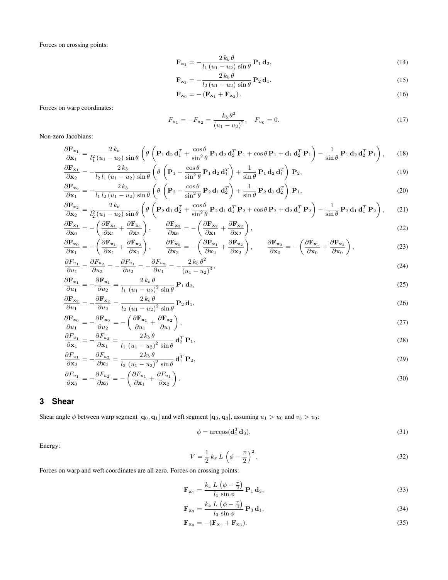Forces on crossing points:

$$
\mathbf{F}_{\mathbf{x}_1} = -\frac{2 k_b \theta}{l_1 (u_1 - u_2) \sin \theta} \, \mathbf{P}_1 \, \mathbf{d}_2,\tag{14}
$$

$$
\mathbf{F}_{\mathbf{x}_2} = -\frac{2 k_b \theta}{l_2 (u_1 - u_2) \sin \theta} \, \mathbf{P}_2 \, \mathbf{d}_1,\tag{15}
$$

$$
\mathbf{F}_{\mathbf{x}_0} = -\left(\mathbf{F}_{\mathbf{x}_1} + \mathbf{F}_{\mathbf{x}_2}\right). \tag{16}
$$

Forces on warp coordinates:

$$
F_{u_1} = -F_{u_2} = \frac{k_b \theta^2}{(u_1 - u_2)^2}, \quad F_{u_0} = 0.
$$
\n(17)

Non-zero Jacobians:

$$
\frac{\partial \mathbf{F}_{\mathbf{x}_1}}{\partial \mathbf{x}_1} = \frac{2 k_b}{l_1^2 (u_1 - u_2) \sin \theta} \left( \theta \left( \mathbf{P}_1 \mathbf{d}_2 \mathbf{d}_1^T + \frac{\cos \theta}{\sin^2 \theta} \mathbf{P}_1 \mathbf{d}_2 \mathbf{d}_2^T \mathbf{P}_1 + \cos \theta \mathbf{P}_1 + \mathbf{d}_1 \mathbf{d}_2^T \mathbf{P}_1 \right) - \frac{1}{\sin \theta} \mathbf{P}_1 \mathbf{d}_2 \mathbf{d}_2^T \mathbf{P}_1 \right), \quad (18)
$$

$$
\frac{\partial \mathbf{F}_{\mathbf{x}_1}}{\partial \mathbf{x}_2} = -\frac{2k_b}{l_2 l_1 (u_1 - u_2) \sin \theta} \left( \theta \left( \mathbf{P}_1 - \frac{\cos \theta}{\sin^2 \theta} \mathbf{P}_1 \mathbf{d}_2 \mathbf{d}_1^T \right) + \frac{1}{\sin \theta} \mathbf{P}_1 \mathbf{d}_2 \mathbf{d}_1^T \right) \mathbf{P}_2,
$$
\n(19)

$$
\frac{\partial \mathbf{F}_{\mathbf{x}_2}}{\partial \mathbf{x}_1} = -\frac{2 k_b}{l_1 l_2 (u_1 - u_2) \sin \theta} \left( \theta \left( \mathbf{P}_2 - \frac{\cos \theta}{\sin^2 \theta} \mathbf{P}_2 \mathbf{d}_1 \mathbf{d}_2^T \right) + \frac{1}{\sin \theta} \mathbf{P}_2 \mathbf{d}_1 \mathbf{d}_2^T \right) \mathbf{P}_1,
$$
\n(20)

$$
\frac{\partial \mathbf{F}_{\mathbf{x}_2}}{\partial \mathbf{x}_2} = \frac{2k_b}{l_2^2(u_1 - u_2)\sin\theta} \left( \theta \left( \mathbf{P}_2 \mathbf{d}_1 \mathbf{d}_2^T + \frac{\cos\theta}{\sin^2\theta} \mathbf{P}_2 \mathbf{d}_1 \mathbf{d}_1^T \mathbf{P}_2 + \cos\theta \mathbf{P}_2 + \mathbf{d}_2 \mathbf{d}_1^T \mathbf{P}_2 \right) - \frac{1}{\sin\theta} \mathbf{P}_2 \mathbf{d}_1 \mathbf{d}_1^T \mathbf{P}_2 \right), \tag{21}
$$

$$
\frac{\partial \mathbf{F}_{\mathbf{x}_1}}{\partial \mathbf{x}_0} = -\left(\frac{\partial \mathbf{F}_{\mathbf{x}_1}}{\partial \mathbf{x}_1} + \frac{\partial \mathbf{F}_{\mathbf{x}_1}}{\partial \mathbf{x}_2}\right), \qquad \frac{\partial \mathbf{F}_{\mathbf{x}_2}}{\partial \mathbf{x}_0} = -\left(\frac{\partial \mathbf{F}_{\mathbf{x}_2}}{\partial \mathbf{x}_1} + \frac{\partial \mathbf{F}_{\mathbf{x}_2}}{\partial \mathbf{x}_2}\right),\tag{22}
$$

$$
\frac{\partial \mathbf{F}_{\mathbf{x}_0}}{\partial \mathbf{x}_1} = -\left(\frac{\partial \mathbf{F}_{\mathbf{x}_1}}{\partial \mathbf{x}_1} + \frac{\partial \mathbf{F}_{\mathbf{x}_2}}{\partial \mathbf{x}_1}\right), \qquad \frac{\partial \mathbf{F}_{\mathbf{x}_0}}{\partial \mathbf{x}_2} = -\left(\frac{\partial \mathbf{F}_{\mathbf{x}_1}}{\partial \mathbf{x}_2} + \frac{\partial \mathbf{F}_{\mathbf{x}_2}}{\partial \mathbf{x}_2}\right), \qquad \frac{\partial \mathbf{F}_{\mathbf{x}_0}}{\partial \mathbf{x}_0} = -\left(\frac{\partial \mathbf{F}_{\mathbf{x}_1}}{\partial \mathbf{x}_0} + \frac{\partial \mathbf{F}_{\mathbf{x}_2}}{\partial \mathbf{x}_0}\right),
$$
(23)

$$
\frac{\partial F_{u_1}}{\partial u_1} = \frac{\partial F_{u_2}}{\partial u_2} = -\frac{\partial F_{u_1}}{\partial u_2} = -\frac{\partial F_{u_2}}{\partial u_1} = -\frac{2k_b \theta^2}{(u_1 - u_2)^3},\tag{24}
$$

$$
\frac{\partial \mathbf{F}_{\mathbf{x}_1}}{\partial u_1} = -\frac{\partial \mathbf{F}_{\mathbf{x}_1}}{\partial u_2} = \frac{2 k_b \theta}{l_1 (u_1 - u_2)^2 \sin \theta} \mathbf{P}_1 \mathbf{d}_2,
$$
\n
$$
\frac{\partial \mathbf{F}}{\partial \mathbf{F}} = \frac{\partial \mathbf{F}}{\partial u_1} \frac{\partial \mathbf{F}}{\partial u_2} = \frac{2 k_b \theta}{l_1 (u_1 - u_2)^2 \sin \theta} \mathbf{P}_1 \mathbf{d}_2,
$$
\n(25)

$$
\frac{\partial \mathbf{F}_{\mathbf{x}_2}}{\partial u_1} = -\frac{\partial \mathbf{F}_{\mathbf{x}_2}}{\partial u_2} = \frac{2 k_b \theta}{l_2 (u_1 - u_2)^2 \sin \theta} \mathbf{P}_2 \mathbf{d}_1,
$$
\n(26)

$$
\frac{\partial \mathbf{F}_{\mathbf{x}_0}}{\partial u_1} = -\frac{\partial \mathbf{F}_{\mathbf{x}_0}}{\partial u_2} = -\left(\frac{\partial \mathbf{F}_{\mathbf{x}_1}}{\partial u_1} + \frac{\partial \mathbf{F}_{\mathbf{x}_2}}{\partial u_1}\right),\tag{27}
$$

$$
\frac{\partial F_{u_1}}{\partial \mathbf{x}_1} = -\frac{\partial F_{u_2}}{\partial \mathbf{x}_1} = \frac{2k_b \theta}{l_1 (u_1 - u_2)^2 \sin \theta} \mathbf{d}_2^T \mathbf{P}_1,
$$
\n(28)

$$
\frac{\partial F_{u_1}}{\partial \mathbf{x}_2} = -\frac{\partial F_{u_2}}{\partial \mathbf{x}_2} = \frac{2 k_b \theta}{l_2 (u_1 - u_2)^2 \sin \theta} \mathbf{d}_1^T \mathbf{P}_2,
$$
\n(29)

$$
\frac{\partial F_{u_1}}{\partial \mathbf{x}_0} = -\frac{\partial F_{u_2}}{\partial \mathbf{x}_0} = -\left(\frac{\partial F_{u_1}}{\partial \mathbf{x}_1} + \frac{\partial F_{u_1}}{\partial \mathbf{x}_2}\right). \tag{30}
$$

## **3 Shear**

Shear angle  $\phi$  between warp segment  $[q_0, q_1]$  and weft segment  $[q_0, q_3]$ , assuming  $u_1 > u_0$  and  $v_3 > v_0$ :

$$
\phi = \arccos(\mathbf{d}_1^T \mathbf{d}_3). \tag{31}
$$

Energy:

$$
V = \frac{1}{2} k_x L \left( \phi - \frac{\pi}{2} \right)^2.
$$
 (32)

Forces on warp and weft coordinates are all zero. Forces on crossing points:

$$
\mathbf{F}_{\mathbf{x}_1} = \frac{k_x L \left(\phi - \frac{\pi}{2}\right)}{l_1 \sin \phi} \mathbf{P}_1 \mathbf{d}_3, \tag{33}
$$

$$
\mathbf{F}_{\mathbf{x}_3} = \frac{k_x L \left(\phi - \frac{\pi}{2}\right)}{l_3 \sin \phi} \mathbf{P}_3 \mathbf{d}_1,\tag{34}
$$

$$
\mathbf{F}_{\mathbf{x}_0} = -(\mathbf{F}_{\mathbf{x}_1} + \mathbf{F}_{\mathbf{x}_3}).\tag{35}
$$